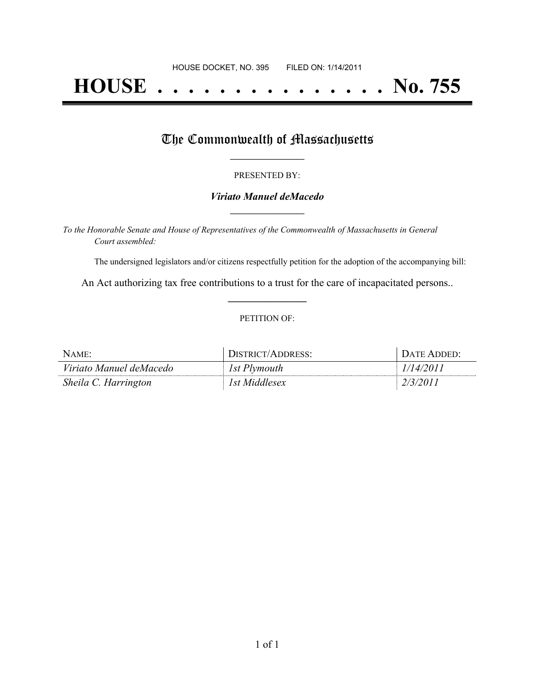# **HOUSE . . . . . . . . . . . . . . . No. 755**

## The Commonwealth of Massachusetts

#### PRESENTED BY:

#### *Viriato Manuel deMacedo* **\_\_\_\_\_\_\_\_\_\_\_\_\_\_\_\_\_**

*To the Honorable Senate and House of Representatives of the Commonwealth of Massachusetts in General Court assembled:*

The undersigned legislators and/or citizens respectfully petition for the adoption of the accompanying bill:

An Act authorizing tax free contributions to a trust for the care of incapacitated persons.. **\_\_\_\_\_\_\_\_\_\_\_\_\_\_\_**

#### PETITION OF:

| NAME:                   | DISTRICT/ADDRESS: | + DATE ADDED: |
|-------------------------|-------------------|---------------|
| Viriato Manuel deMacedo | 1st Plymouth      | 1/14/2011     |
| Sheila C. Harrington    | 1st Middlesex     | 2/3/201.      |